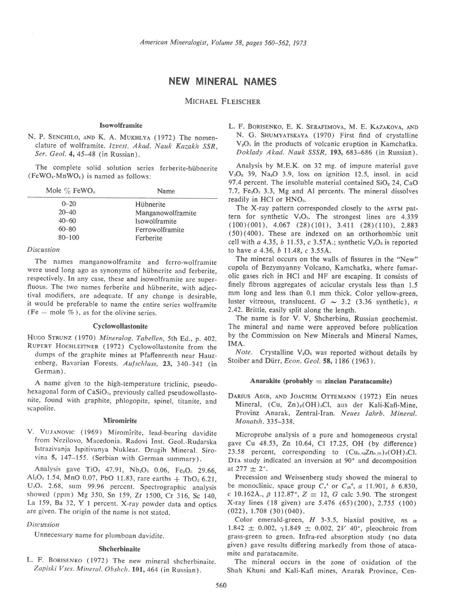# NEW MINERAL NAMES

MICHAEL FLEISCHER

#### Isowolframite

N. P. SENCHILO, AND K. A. MUKHLYA (1972) The nomenclature of wolframite. Izvest. Akad. Nauk Kazakh SSR. Ser. Geol. 4,45-48 (in Russian).

The complete solid solution series ferberite-hiibnerite  $(FeWO<sub>4</sub>-MnWO<sub>4</sub>)$  is named as follows:

| Mole $\%$ FeWO <sub>4</sub> | <b>Name</b>       |
|-----------------------------|-------------------|
| $0 - 20$                    | Hübnerite         |
| $20 - 40$                   | Manganowolframite |
| $40 - 60$                   | Isowolframite     |
| $60 - 80$                   | Ferrowolframite   |
| $80 - 100$                  | Ferberite         |
|                             |                   |

### Discussion

The names manganowolframite and ferro-wolframite were used long ago as synonyms of hiibnerite and ferberite, respectively. In any case, these and isowolframite are superfluous. The two names ferberite and hübnerite, with adjectival modifiers, are adequate. If any change is desirable, it would be preferable to name the entire series wolframite (Fe  $-$  mole  $\%$ ), as for the olivine series.

#### Cyclowollastonite

HUGO STRUNZ (1970) Mineralog. Tabellen, 5th Ed., p. 402. RUPERT HOCHLEITNER (1972) Cyclowollastonite from the dumps of the graphite mines at Pfaftenrenth near Hauzenberg, Bavarian Forests. Aufschluss, 23, 340-341 (in German).

A name given to the high-temperature triclinic, pseudohexagonal form of CaSiO<sub>3</sub>, previously called pseudowollastonite, found with graphite, phlogopite, spinel, titanite, and scapolite.

#### **Miromirite**

V. VUJANOVIC (1969) Miromirite, lead-bearing davidite from Nezilovo, Macedonia. Radovi Inst. Geol.-Rudarska Istrazivanja Ispitivanya Nuklear. Drugih Mineral. Sirovina 5, 147-155. (Serbian with German summary).

Analysis gave TiO<sub>2</sub> 47.91, Nb<sub>2</sub>O<sub>5</sub> 0.06, Fe<sub>2</sub>O<sub>3</sub> 29.66, Al<sub>2</sub>O<sub>3</sub> 1.54, MnO 0.07, PbO 11.83, rare earths  $+$  ThO<sub>2</sub> 6.21, U<sub>3</sub>O<sub>s</sub> 2.68, sum 99.96 percent. Spectrographic analysis showed (ppm) Mg 350, Sn 159, Zr 1500, Cr 316, Sc 140, La 159, Ba 32, Y I percent. X-ray powder data and optics are given. The origin of the name is not stated.

### Discussion

Unnecessary name for plumboan davidite.

### Shcherbinaite

L. F. BORISENKO (1972) The new mineral shcherbinaite. Zapiski Vses. Mineral. Obshch. 101, 464 (in Russian).

L. F. BORISENKO, E. K. SERAFIMOVA, M. E. KAZAKOVA, AND N. G. SHUMYATSKAYA (1970) First find of crystalline  $V<sub>2</sub>O<sub>5</sub>$  in the products of volcanic eruption in Kamchatka. Doklady Akad. Nauk SSSR, 193, 683-686 (in Russian).

Analysis by M.E.K. on 32 mg. of impure material gave  $V<sub>2</sub>O<sub>5</sub>$  39, Na<sub>2</sub>O 3.9, loss on ignition 12.5, insol. in acid 97.4 percent. The insoluble material contained  $SiO<sub>2</sub> 24$ , CaO 7.7,  $Fe<sub>2</sub>O<sub>3</sub>$  3.3, Mg and Al percents. The mineral dissolves readily in HCl or HNO<sub>3</sub>.

The X-ray pattern corresponded closely to the ASTM pattern for synthetic  $V_2O_5$ . The strongest lines are 4.339 (100)(001), 4.067 (28)(101), 3.411 (28)(110), 2.883 (50)(400). These are indexed on an orthorhombic unit cell with a 4.35, b 11.53, c 3.57A.; synthetic  $V_2O_5$  is reported to have a 4.36, b 11.48, c 3.55A.

The mineral occurs on the walls of fissures in the "New" cupola of Bezymyanny Volcano, Kamchatka, where fumarolic gases rich in HCI and HF are escaping. It consists of finely fibrous aggregates of acicular crystals less than 1.5 mm long and less than 0.1 mm thick. Color yellow-green, luster vitreous, translucent.  $G \sim 3.2$  (3.36 synthetic), n 2.42. Brittle, easily split along the length.

The name is for V. V. Shcherbina, Russian geochemist. The mineral and name were approved before publication by the Commission on New Minerals and Mineral Names, IMA.

Note. Crystalline  $V_2O_5$  was reported without details by Stoiber and Dürr, Econ. Geol. 58, 1186 (1963).

### Anarakite (probably  $=$  zincian Paratacamite)

DARIUS ADIB, AND JOACHIM OTTEMANN (1972) Ein neues Mineral,  $(Cu, Zn)_{2}(OH)_{3}Cl$ , aus der Kali-Kafi-Mine, Provinz Anarak, Zentral-Iran. Neues Jahrb. Mineral. Monatsh.335-338.

Microprobe analysis of a pure and homogeneous crystal gave Cu 48.53, Zn 10.64, Cl 17.25, OH (by difference) 23.58 percent, corresponding to  $(Cu_0 \, \text{sgZn}_{0.18})_2(OH)_3Cl$ . DTA study indicated an inversion at 90° and decomposition at  $277 \pm 2^{\circ}$ .

Precession and Weissenberg study showed the mineral to be monoclinic, space group  $C_{\epsilon}^*$  or  $C_{2h}^6$ , a 11.901, b 6.830, c 10.162Å.,  $\beta$  112.87°,  $Z = 12$ , G calc 3.90. The strongest X-ray lines (18 given) are 5.476 (65)(200), 2.755 (lOO)  $(022)$ , 1.708  $(30)(040)$ .

Color emerald-green,  $H$  3-3.5, biaxial positive, ns  $\alpha$ 1.842  $\pm$  0.002,  $\gamma$ 1.849  $\pm$  0.002, 2V 40°, pleochroic from grass-green to green. Infra-red absorption study (no data given) gave results differing markedly from those of atacamite and paratacamite.

The mineral occurs in the zone of oxidation of the Shah Khuni and Kali-Kafi mines, Anarak Province, Cen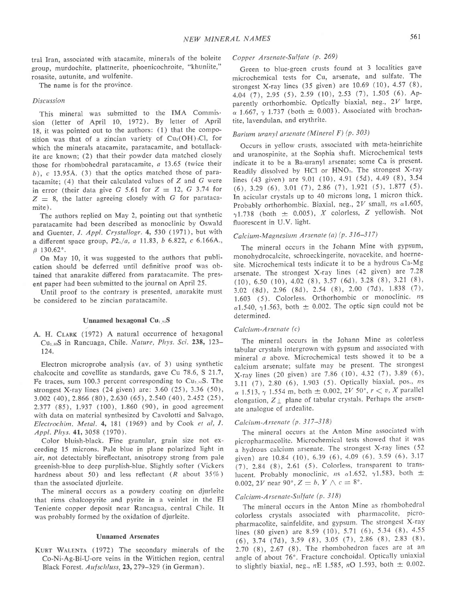tral Iran. associated with atacamite, minerals of the boleite group, murdochite, plattnerite, phoenicochroite, "khuniite," rosasite, autunite, and wulfenite.

The name is for the province.

#### Discussion

This mineral was submitted to the IMA Commis' sion (letter of April 10, 1972). By letter of April 18, it was pointed out to the authors: (1) that the composition was that of a zincian variety of  $Cu_2(OH)$ , Cl, for which the minerals atacamite, paratacamite, and botallackite are known; (2) that their powder data matched closely those for rhombohedral paratacamite, a 13.65 (twice their  $b$ ),  $c$  13.95Å. (3) that the optics matched those of paratacamite;  $(4)$  that their calculated values of Z and G were in error (their data give G 5.61 for  $Z = 12$ , G 3.74 for  $Z = 8$ , the latter agreeing closely with G for paratacamite).

The authors replied on May 2, pointing out that synthetic paratacamite had been described as monoclinic by Oswald and Guenter, J. Appl. Crystallogr. 4, 530 (1971), but with a different space group,  $P2_1/a$ , a 11.83, b 6.822, c 6.166A.,  $\beta$  130.62°.

On May 10, it was suggested to the authors that publication should be deferred until definitive proof was obtained that anarakite differed from paratacamite. The present paper had been submitted to the journal on April 25.

Until proof to the contrary is presented, anarakite must be considered to be zincian paratacamite.

### Unnamed hexagonal  $Cu$ <sub>1,83</sub>S

A. H. CLARK (1972) A natural occurrence of hexagonal Cu<sub>1.83</sub>S in Rancuaga, Chile. Nature, Phys. Sci. 238, 123-124.

Electron microprobe analysis (av. of 3) using synthetic chalcocite and covellite as standards, gave Cu 78.6, S 21.7, Fe traces, sum 100.3 percent corresponding to  $Cu<sub>1,85</sub>S$ . The strongest X-ray lines (24 given) are: 3.60 (25), 3.36 (50), 3.002 (40),2.866 (80),2.630 (65),2.540 (40),2.4s2 (25), 2.377 (85), 1.937 (100), 1.860 (90), in good agreement with data on material synthesized by Cavolotti and Salvago, Electrochim. Metal. 4, 181 (1969) and by Cook et al, I. Appl. Phys. 41, 3058 (1970).

Color bluish-black. Fine granular, grain size not exceeding 15 microns. Pale blue in plane polarized light in air, not detectably bireflectant, anisotropy strong from pale greenish-blue to deep purplish-blue. Slightly softer (Vickers hardness about 50) and less reflectant  $(R$  about 35%) than the associated djurleite.

The mineral occurs as a powdery coating on djurleite that rims chalcopyrite and pyrite in a veinlet in the El Teniente copper deposit near Rancagua, central Chile. It was probably formed by the oxidation of djurleite.

### Unnamed Arsenates

KURT WALENTA (1972) The secondary minerals of the Co-Ni-Ag-Bi-U-ore veins in the Wittichen region, central Black Forest. Aufschluss, 23, 279-329 (in German).

# Copper Arsenate-Sulfate (P. 269)

Green to blue-green crusts found at 3 localities gave microchemical tests for Cu, arsenate, and sulfate. The strongest X-ray lines (35 given) are  $10.69$  (10),  $4.57$  (8), 4.04 (7), 2.95 (5), 2.59 (10), 2.53 (7), 1.505 (6). Apparently orthorhombic. Optically biaxial, neg.,  $2V$  large,  $\alpha$  1.667,  $\gamma$  1.737 (both  $\pm$  0.003). Associated with brochantite, lavendulan, and erythrite.

# Barium uranyl arsenate (Mineral F) (p. 303)

Occurs in yellow crusts, associated with meta-heinrichite and uranospinite, at the Sophia shaft. Microchemical tests indicate it to be a Ba-uranyl arsenate; some Ca is present. Readily dissolved by HCl or HNO<sub>3</sub>. The strongest X-ray lines (43 given) are 9.01 (10), 4.91 (5d), 4.49 (8), 3.54  $(6)$ , 3.29  $(6)$ , 3.01  $(7)$ , 2.86  $(7)$ , 1.921  $(5)$ , 1.877  $(5)$ . In acicular crystals up to 40 microns long, 1 micron thick. Probably orthorhombic. Biaxial, neg.,  $2V$  small,  $ns \alpha 1.605$ ,  $\gamma$ 1.738 (both  $\pm$  0.005), X colorless, Z yellowish. Not fluorescent in U.V. light.

# Calcium-Magnesium Arsenate (a) (p. 316-317)

The mineral occurs in the Johann Mine with gypsum, monohydrocalcite, schroeckingerite, novacekite, and hoernesite. Microchemical tests indicate it to be a hydrous Ca-Mg arsenate. The strongest X-ray lines (42 given) are 7.28  $(10)$ , 6.50  $(10)$ , 4.02  $(8)$ , 3.57  $(6d)$ , 3.28  $(8)$ , 3.21  $(8)$ , 3.02 (8d), 2.96 (8d), 2.54 (8), 2.00 (7d), 1.838 (7),  $1.603$  (5). Colorless. Orthorhombic or monoclinic.  $ns$  $\alpha$ 1.540,  $\gamma$ 1.563, both  $\pm$  0.002. The optic sign could not be determined.

### Calcium-Arsenate (c)

The mineral occurs in the Johann Mine as colorless tabular crystals intergrown with gypsum and associated with mineral a above. Microchemical tests showed it to be a calcium arsenate; sulfate may be present. The strongest X-ray lines (20 given) are 7.86 (10), 4.32 (7), 3.89 (6), 3.11 (7), 2.80 (6), 1.903 (5). Optically biaxial, pos., ns  $\alpha$  1.513,  $\gamma$  1.554 m, both  $\pm$  0.002, 2V 50°,  $r < v$ , X parallel elongation,  $Z_{\perp}$  plane of tabular crystals. Perhaps the arsenate analogue of ardealite.

# Calcium-Arsenate (p. 317-318)

The mineral occurs at the Anton Mine associated with picropharmacolite. Microchemical tests showed that it was a hydrous calcium arsenate. The strongest X-ray lines (52 given) are 10.84 (10), 6.39 (6), 4.09 (6), 3.59 (6), 3.17 (7),2.84 (8), 2.61 (5). Colorless, transparent to translucent. Probably monoclinic, ns  $\alpha$ 1.652,  $\gamma$ 1.583, both  $\pm$ 0.002, 2*V* near 90°,  $Z = b$ ,  $Y \wedge c = 8$ °.

### Calcium-Arsenate-Sulfate (p. 318)

The mineral occurs in the Anton Mine as rbombohedral colorless crystals associated with pharmacolite, picropharmacolite, sainfeldite, and gypsum. The strongest X-ray lines (80 given) are 8.59 (10), 5.71 (6), 5.34 (8), 4.55 (6),3.74 (7d),3.se (8), 3.05 (7),2.86 (8), 2.83 (8), 2.70 (8), 2.67 (8). The rhombohedron faces are at an angle of about 76°. Fracture conchoidal. Optically uniaxial to slightly biaxial, neg.,  $nE$  1.585,  $nO$  1.593, both  $\pm$  0.002.